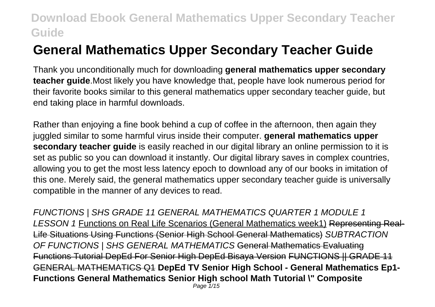# **General Mathematics Upper Secondary Teacher Guide**

Thank you unconditionally much for downloading **general mathematics upper secondary teacher guide**.Most likely you have knowledge that, people have look numerous period for their favorite books similar to this general mathematics upper secondary teacher guide, but end taking place in harmful downloads.

Rather than enjoying a fine book behind a cup of coffee in the afternoon, then again they juggled similar to some harmful virus inside their computer. **general mathematics upper secondary teacher guide** is easily reached in our digital library an online permission to it is set as public so you can download it instantly. Our digital library saves in complex countries, allowing you to get the most less latency epoch to download any of our books in imitation of this one. Merely said, the general mathematics upper secondary teacher guide is universally compatible in the manner of any devices to read.

FUNCTIONS | SHS GRADE 11 GENERAL MATHEMATICS QUARTER 1 MODULE 1 LESSON 1 Functions on Real Life Scenarios (General Mathematics week1) Representing Real-Life Situations Using Functions (Senior High School General Mathematics) SUBTRACTION OF FUNCTIONS | SHS GENERAL MATHEMATICS General Mathematics Evaluating Functions Tutorial DepEd For Senior High DepEd Bisaya Version FUNCTIONS || GRADE 11 GENERAL MATHEMATICS Q1 **DepEd TV Senior High School - General Mathematics Ep1- Functions General Mathematics Senior High school Math Tutorial \" Composite** Page 1/15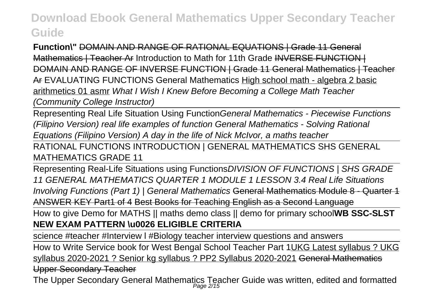**Function\"** DOMAIN AND RANGE OF RATIONAL EQUATIONS | Grade 11 General Mathematics | Teacher Ar Introduction to Math for 11th Grade INVERSE FUNCTION | DOMAIN AND RANGE OF INVERSE FUNCTION | Grade 11 General Mathematics | Teacher Ar EVALUATING FUNCTIONS General Mathematics High school math - algebra 2 basic arithmetics 01 asmr What I Wish I Knew Before Becoming a College Math Teacher (Community College Instructor)

Representing Real Life Situation Using FunctionGeneral Mathematics - Piecewise Functions (Filipino Version) real life examples of function General Mathematics - Solving Rational Equations (Filipino Version) A day in the life of Nick McIvor, a maths teacher

RATIONAL FUNCTIONS INTRODUCTION | GENERAL MATHEMATICS SHS GENERAL MATHEMATICS GRADE 11

Representing Real-Life Situations using FunctionsDIVISION OF FUNCTIONS | SHS GRADE 11 GENERAL MATHEMATICS QUARTER 1 MODULE 1 LESSON 3.4 Real Life Situations Involving Functions (Part 1) | General Mathematics General Mathematics Module 8 - Quarter 1 ANSWER KEY Part1 of 4 Best Books for Teaching English as a Second Language

How to give Demo for MATHS || maths demo class || demo for primary school**WB SSC-SLST NEW EXAM PATTERN \u0026 ELIGIBLE CRITERIA**

science #teacher #Interview l #Biology teacher interview questions and answers

How to Write Service book for West Bengal School Teacher Part 1UKG Latest syllabus ? UKG syllabus 2020-2021 ? Senior kg syllabus ? PP2 Syllabus 2020-2021 General Mathematics Upper Secondary Teacher

The Upper Secondary General Mathematics Teacher Guide was written, edited and formatted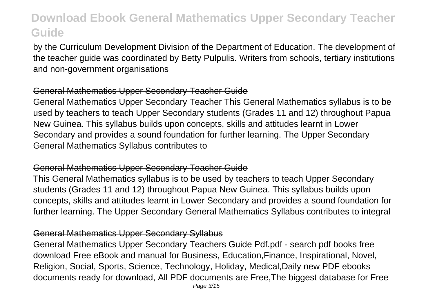by the Curriculum Development Division of the Department of Education. The development of the teacher guide was coordinated by Betty Pulpulis. Writers from schools, tertiary institutions and non-government organisations

#### General Mathematics Upper Secondary Teacher Guide

General Mathematics Upper Secondary Teacher This General Mathematics syllabus is to be used by teachers to teach Upper Secondary students (Grades 11 and 12) throughout Papua New Guinea. This syllabus builds upon concepts, skills and attitudes learnt in Lower Secondary and provides a sound foundation for further learning. The Upper Secondary General Mathematics Syllabus contributes to

#### General Mathematics Upper Secondary Teacher Guide

This General Mathematics syllabus is to be used by teachers to teach Upper Secondary students (Grades 11 and 12) throughout Papua New Guinea. This syllabus builds upon concepts, skills and attitudes learnt in Lower Secondary and provides a sound foundation for further learning. The Upper Secondary General Mathematics Syllabus contributes to integral

#### General Mathematics Upper Secondary Syllabus

General Mathematics Upper Secondary Teachers Guide Pdf.pdf - search pdf books free download Free eBook and manual for Business, Education,Finance, Inspirational, Novel, Religion, Social, Sports, Science, Technology, Holiday, Medical,Daily new PDF ebooks documents ready for download, All PDF documents are Free,The biggest database for Free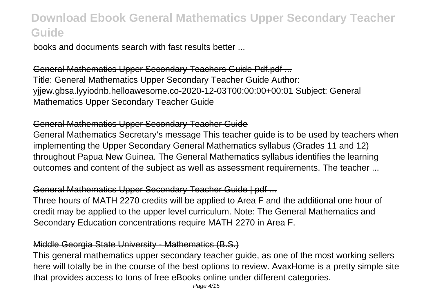books and documents search with fast results better ...

## General Mathematics Upper Secondary Teachers Guide Pdf.pdf ... Title: General Mathematics Upper Secondary Teacher Guide Author: yjjew.gbsa.lyyiodnb.helloawesome.co-2020-12-03T00:00:00+00:01 Subject: General Mathematics Upper Secondary Teacher Guide

### General Mathematics Upper Secondary Teacher Guide

General Mathematics Secretary's message This teacher guide is to be used by teachers when implementing the Upper Secondary General Mathematics syllabus (Grades 11 and 12) throughout Papua New Guinea. The General Mathematics syllabus identifies the learning outcomes and content of the subject as well as assessment requirements. The teacher ...

### General Mathematics Upper Secondary Teacher Guide | pdf ...

Three hours of MATH 2270 credits will be applied to Area F and the additional one hour of credit may be applied to the upper level curriculum. Note: The General Mathematics and Secondary Education concentrations require MATH 2270 in Area F.

## Middle Georgia State University - Mathematics (B.S.)

This general mathematics upper secondary teacher guide, as one of the most working sellers here will totally be in the course of the best options to review. AvaxHome is a pretty simple site that provides access to tons of free eBooks online under different categories.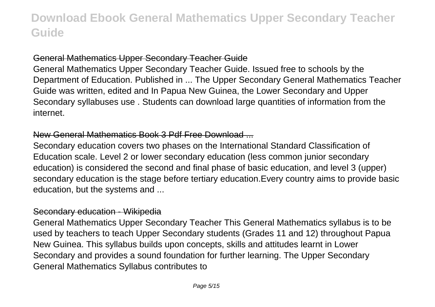### General Mathematics Upper Secondary Teacher Guide

General Mathematics Upper Secondary Teacher Guide. Issued free to schools by the Department of Education. Published in ... The Upper Secondary General Mathematics Teacher Guide was written, edited and In Papua New Guinea, the Lower Secondary and Upper Secondary syllabuses use . Students can download large quantities of information from the internet.

#### New General Mathematics Book 3 Pdf Free Download ...

Secondary education covers two phases on the International Standard Classification of Education scale. Level 2 or lower secondary education (less common junior secondary education) is considered the second and final phase of basic education, and level 3 (upper) secondary education is the stage before tertiary education.Every country aims to provide basic education, but the systems and ...

#### Secondary education - Wikipedia

General Mathematics Upper Secondary Teacher This General Mathematics syllabus is to be used by teachers to teach Upper Secondary students (Grades 11 and 12) throughout Papua New Guinea. This syllabus builds upon concepts, skills and attitudes learnt in Lower Secondary and provides a sound foundation for further learning. The Upper Secondary General Mathematics Syllabus contributes to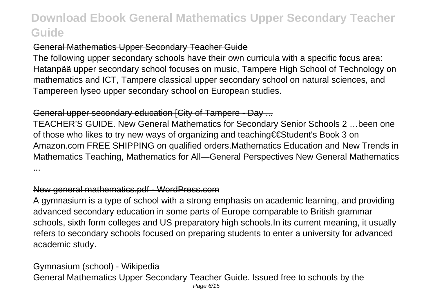## General Mathematics Upper Secondary Teacher Guide

The following upper secondary schools have their own curricula with a specific focus area: Hatanpää upper secondary school focuses on music, Tampere High School of Technology on mathematics and ICT, Tampere classical upper secondary school on natural sciences, and Tampereen lyseo upper secondary school on European studies.

### General upper secondary education [City of Tampere - Day ...

TEACHER'S GUIDE. New General Mathematics for Secondary Senior Schools 2 …been one of those who likes to try new ways of organizing and teaching€€Student's Book 3 on Amazon.com FREE SHIPPING on qualified orders.Mathematics Education and New Trends in Mathematics Teaching, Mathematics for All—General Perspectives New General Mathematics ...

#### New general mathematics.pdf - WordPress.com

A gymnasium is a type of school with a strong emphasis on academic learning, and providing advanced secondary education in some parts of Europe comparable to British grammar schools, sixth form colleges and US preparatory high schools.In its current meaning, it usually refers to secondary schools focused on preparing students to enter a university for advanced academic study.

#### Gymnasium (school) - Wikipedia

General Mathematics Upper Secondary Teacher Guide. Issued free to schools by the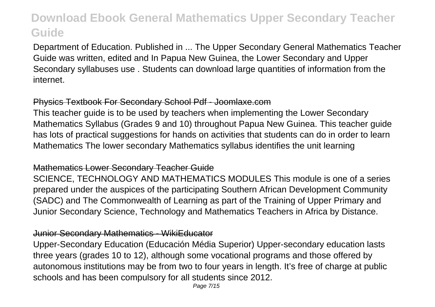Department of Education. Published in ... The Upper Secondary General Mathematics Teacher Guide was written, edited and In Papua New Guinea, the Lower Secondary and Upper Secondary syllabuses use . Students can download large quantities of information from the internet.

### Physics Textbook For Secondary School Pdf - Joomlaxe.com

This teacher guide is to be used by teachers when implementing the Lower Secondary Mathematics Syllabus (Grades 9 and 10) throughout Papua New Guinea. This teacher guide has lots of practical suggestions for hands on activities that students can do in order to learn Mathematics The lower secondary Mathematics syllabus identifies the unit learning

#### Mathematics Lower Secondary Teacher Guide

SCIENCE, TECHNOLOGY AND MATHEMATICS MODULES This module is one of a series prepared under the auspices of the participating Southern African Development Community (SADC) and The Commonwealth of Learning as part of the Training of Upper Primary and Junior Secondary Science, Technology and Mathematics Teachers in Africa by Distance.

#### Junior Secondary Mathematics - WikiEducator

Upper-Secondary Education (Educación Média Superior) Upper-secondary education lasts three years (grades 10 to 12), although some vocational programs and those offered by autonomous institutions may be from two to four years in length. It's free of charge at public schools and has been compulsory for all students since 2012.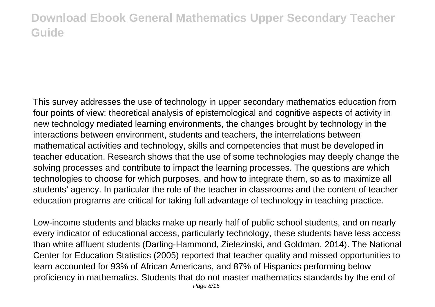This survey addresses the use of technology in upper secondary mathematics education from four points of view: theoretical analysis of epistemological and cognitive aspects of activity in new technology mediated learning environments, the changes brought by technology in the interactions between environment, students and teachers, the interrelations between mathematical activities and technology, skills and competencies that must be developed in teacher education. Research shows that the use of some technologies may deeply change the solving processes and contribute to impact the learning processes. The questions are which technologies to choose for which purposes, and how to integrate them, so as to maximize all students' agency. In particular the role of the teacher in classrooms and the content of teacher education programs are critical for taking full advantage of technology in teaching practice.

Low-income students and blacks make up nearly half of public school students, and on nearly every indicator of educational access, particularly technology, these students have less access than white affluent students (Darling-Hammond, Zielezinski, and Goldman, 2014). The National Center for Education Statistics (2005) reported that teacher quality and missed opportunities to learn accounted for 93% of African Americans, and 87% of Hispanics performing below proficiency in mathematics. Students that do not master mathematics standards by the end of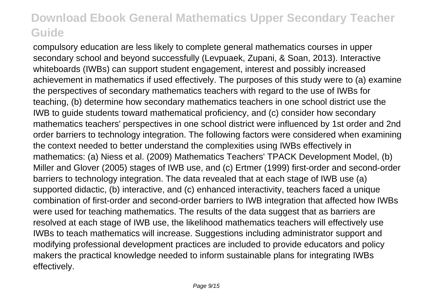compulsory education are less likely to complete general mathematics courses in upper secondary school and beyond successfully (Levpuaek, Zupani, & Soan, 2013). Interactive whiteboards (IWBs) can support student engagement, interest and possibly increased achievement in mathematics if used effectively. The purposes of this study were to (a) examine the perspectives of secondary mathematics teachers with regard to the use of IWBs for teaching, (b) determine how secondary mathematics teachers in one school district use the IWB to guide students toward mathematical proficiency, and (c) consider how secondary mathematics teachers' perspectives in one school district were influenced by 1st order and 2nd order barriers to technology integration. The following factors were considered when examining the context needed to better understand the complexities using IWBs effectively in mathematics: (a) Niess et al. (2009) Mathematics Teachers' TPACK Development Model, (b) Miller and Glover (2005) stages of IWB use, and (c) Ertmer (1999) first-order and second-order barriers to technology integration. The data revealed that at each stage of IWB use (a) supported didactic, (b) interactive, and (c) enhanced interactivity, teachers faced a unique combination of first-order and second-order barriers to IWB integration that affected how IWBs were used for teaching mathematics. The results of the data suggest that as barriers are resolved at each stage of IWB use, the likelihood mathematics teachers will effectively use IWBs to teach mathematics will increase. Suggestions including administrator support and modifying professional development practices are included to provide educators and policy makers the practical knowledge needed to inform sustainable plans for integrating IWBs effectively.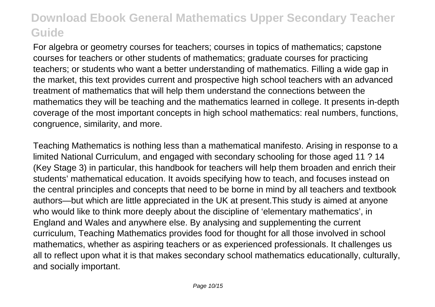For algebra or geometry courses for teachers; courses in topics of mathematics; capstone courses for teachers or other students of mathematics; graduate courses for practicing teachers; or students who want a better understanding of mathematics. Filling a wide gap in the market, this text provides current and prospective high school teachers with an advanced treatment of mathematics that will help them understand the connections between the mathematics they will be teaching and the mathematics learned in college. It presents in-depth coverage of the most important concepts in high school mathematics: real numbers, functions, congruence, similarity, and more.

Teaching Mathematics is nothing less than a mathematical manifesto. Arising in response to a limited National Curriculum, and engaged with secondary schooling for those aged 11 ? 14 (Key Stage 3) in particular, this handbook for teachers will help them broaden and enrich their students' mathematical education. It avoids specifying how to teach, and focuses instead on the central principles and concepts that need to be borne in mind by all teachers and textbook authors—but which are little appreciated in the UK at present.This study is aimed at anyone who would like to think more deeply about the discipline of 'elementary mathematics', in England and Wales and anywhere else. By analysing and supplementing the current curriculum, Teaching Mathematics provides food for thought for all those involved in school mathematics, whether as aspiring teachers or as experienced professionals. It challenges us all to reflect upon what it is that makes secondary school mathematics educationally, culturally, and socially important.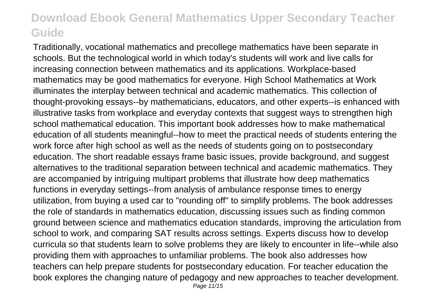Traditionally, vocational mathematics and precollege mathematics have been separate in schools. But the technological world in which today's students will work and live calls for increasing connection between mathematics and its applications. Workplace-based mathematics may be good mathematics for everyone. High School Mathematics at Work illuminates the interplay between technical and academic mathematics. This collection of thought-provoking essays--by mathematicians, educators, and other experts--is enhanced with illustrative tasks from workplace and everyday contexts that suggest ways to strengthen high school mathematical education. This important book addresses how to make mathematical education of all students meaningful--how to meet the practical needs of students entering the work force after high school as well as the needs of students going on to postsecondary education. The short readable essays frame basic issues, provide background, and suggest alternatives to the traditional separation between technical and academic mathematics. They are accompanied by intriguing multipart problems that illustrate how deep mathematics functions in everyday settings--from analysis of ambulance response times to energy utilization, from buying a used car to "rounding off" to simplify problems. The book addresses the role of standards in mathematics education, discussing issues such as finding common ground between science and mathematics education standards, improving the articulation from school to work, and comparing SAT results across settings. Experts discuss how to develop curricula so that students learn to solve problems they are likely to encounter in life--while also providing them with approaches to unfamiliar problems. The book also addresses how teachers can help prepare students for postsecondary education. For teacher education the book explores the changing nature of pedagogy and new approaches to teacher development. Page 11/15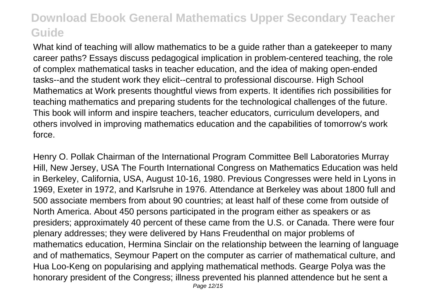What kind of teaching will allow mathematics to be a guide rather than a gatekeeper to many career paths? Essays discuss pedagogical implication in problem-centered teaching, the role of complex mathematical tasks in teacher education, and the idea of making open-ended tasks--and the student work they elicit--central to professional discourse. High School Mathematics at Work presents thoughtful views from experts. It identifies rich possibilities for teaching mathematics and preparing students for the technological challenges of the future. This book will inform and inspire teachers, teacher educators, curriculum developers, and others involved in improving mathematics education and the capabilities of tomorrow's work force.

Henry O. Pollak Chairman of the International Program Committee Bell Laboratories Murray Hill, New Jersey, USA The Fourth International Congress on Mathematics Education was held in Berkeley, California, USA, August 10-16, 1980. Previous Congresses were held in Lyons in 1969, Exeter in 1972, and Karlsruhe in 1976. Attendance at Berkeley was about 1800 full and 500 associate members from about 90 countries; at least half of these come from outside of North America. About 450 persons participated in the program either as speakers or as presiders; approximately 40 percent of these came from the U.S. or Canada. There were four plenary addresses; they were delivered by Hans Freudenthal on major problems of mathematics education, Hermina Sinclair on the relationship between the learning of language and of mathematics, Seymour Papert on the computer as carrier of mathematical culture, and Hua Loo-Keng on popularising and applying mathematical methods. Gearge Polya was the honorary president of the Congress; illness prevented his planned attendence but he sent a Page 12/15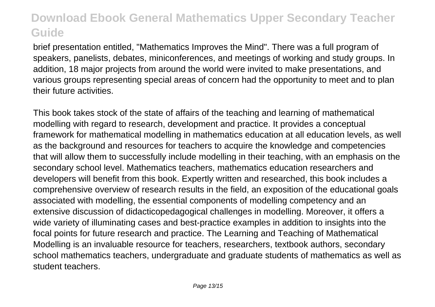brief presentation entitled, "Mathematics Improves the Mind". There was a full program of speakers, panelists, debates, miniconferences, and meetings of working and study groups. In addition, 18 major projects from around the world were invited to make presentations, and various groups representing special areas of concern had the opportunity to meet and to plan their future activities.

This book takes stock of the state of affairs of the teaching and learning of mathematical modelling with regard to research, development and practice. It provides a conceptual framework for mathematical modelling in mathematics education at all education levels, as well as the background and resources for teachers to acquire the knowledge and competencies that will allow them to successfully include modelling in their teaching, with an emphasis on the secondary school level. Mathematics teachers, mathematics education researchers and developers will benefit from this book. Expertly written and researched, this book includes a comprehensive overview of research results in the field, an exposition of the educational goals associated with modelling, the essential components of modelling competency and an extensive discussion of didacticopedagogical challenges in modelling. Moreover, it offers a wide variety of illuminating cases and best-practice examples in addition to insights into the focal points for future research and practice. The Learning and Teaching of Mathematical Modelling is an invaluable resource for teachers, researchers, textbook authors, secondary school mathematics teachers, undergraduate and graduate students of mathematics as well as student teachers.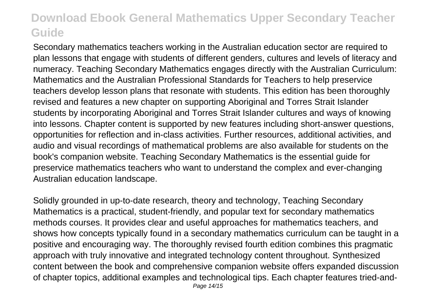Secondary mathematics teachers working in the Australian education sector are required to plan lessons that engage with students of different genders, cultures and levels of literacy and numeracy. Teaching Secondary Mathematics engages directly with the Australian Curriculum: Mathematics and the Australian Professional Standards for Teachers to help preservice teachers develop lesson plans that resonate with students. This edition has been thoroughly revised and features a new chapter on supporting Aboriginal and Torres Strait Islander students by incorporating Aboriginal and Torres Strait Islander cultures and ways of knowing into lessons. Chapter content is supported by new features including short-answer questions, opportunities for reflection and in-class activities. Further resources, additional activities, and audio and visual recordings of mathematical problems are also available for students on the book's companion website. Teaching Secondary Mathematics is the essential guide for preservice mathematics teachers who want to understand the complex and ever-changing Australian education landscape.

Solidly grounded in up-to-date research, theory and technology, Teaching Secondary Mathematics is a practical, student-friendly, and popular text for secondary mathematics methods courses. It provides clear and useful approaches for mathematics teachers, and shows how concepts typically found in a secondary mathematics curriculum can be taught in a positive and encouraging way. The thoroughly revised fourth edition combines this pragmatic approach with truly innovative and integrated technology content throughout. Synthesized content between the book and comprehensive companion website offers expanded discussion of chapter topics, additional examples and technological tips. Each chapter features tried-and-